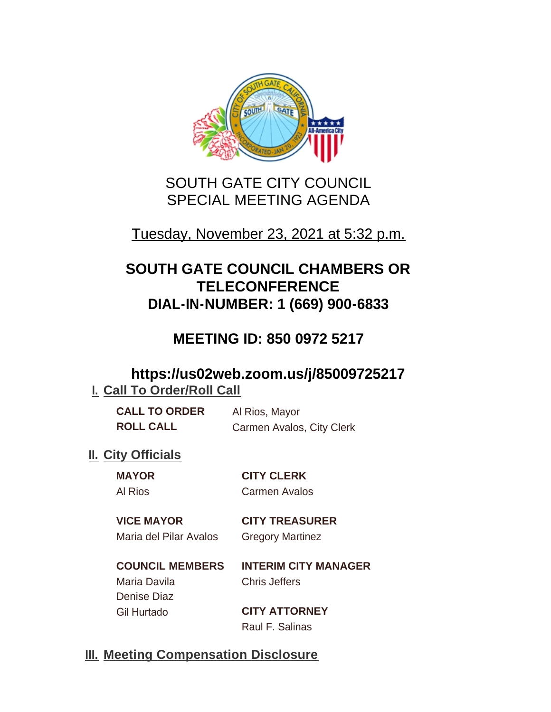

# SOUTH GATE CITY COUNCIL SPECIAL MEETING AGENDA

## Tuesday, November 23, 2021 at 5:32 p.m.

# **SOUTH GATE COUNCIL CHAMBERS OR TELECONFERENCE DIAL-IN-NUMBER: 1 (669) 900-6833**

# **MEETING ID: 850 0972 5217**

## **https://us02web.zoom.us/j/85009725217 I. Call To Order/Roll Call**

| <b>CALL TO ORDER</b> | Al Rios, Mayor            |
|----------------------|---------------------------|
| <b>ROLL CALL</b>     | Carmen Avalos, City Clerk |

## **II.** City Officials

**MAYOR CITY CLERK** Al Rios Carmen Avalos

### **VICE MAYOR CITY TREASURER** Maria del Pilar Avalos Gregory Martinez

**COUNCIL MEMBERS INTERIM CITY MANAGER** Maria Davila Chris Jeffers Denise Diaz Gil Hurtado **CITY ATTORNEY**

Raul F. Salinas

## **Meeting Compensation Disclosure III.**